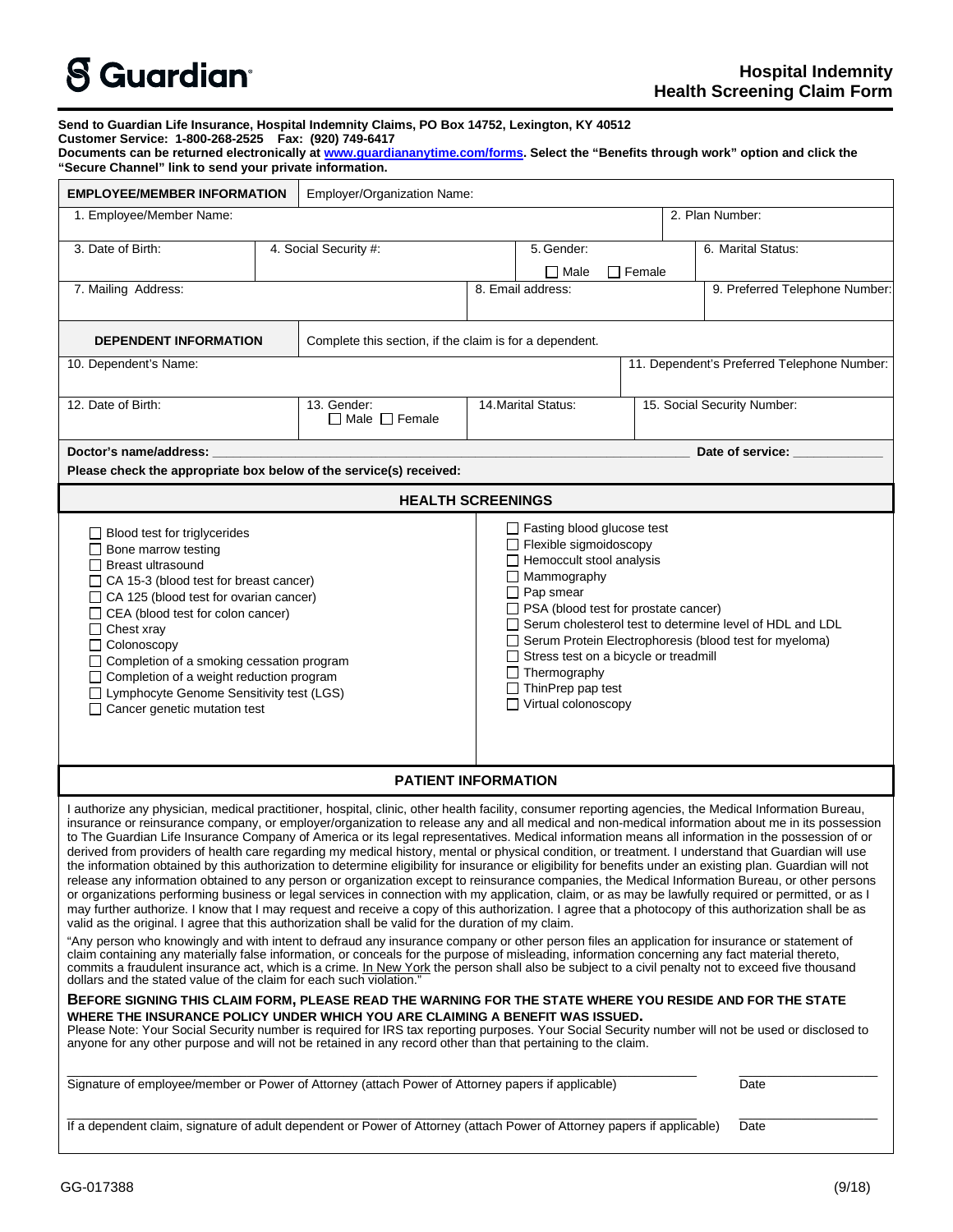| <b>S</b> Guardian <sup>®</sup> |  |
|--------------------------------|--|
|--------------------------------|--|

|                                                                                                                                                                                                                                                                                                                                                                                                                                                                                                                                                                                                                                                                                                                                                                                                                                                                                                                                                                                                                                                                                                                                                                                                                                                                                                                                                                                                                                                                                                                                                                                                                                                                                                                                                                                                                                                                                                                                                                              |  |                                                                                                                                                                                                                                                                                                                                                                                                                                                    |                                                    |                   |  |  | <b>Health Screening Gramm Form</b>          |  |
|------------------------------------------------------------------------------------------------------------------------------------------------------------------------------------------------------------------------------------------------------------------------------------------------------------------------------------------------------------------------------------------------------------------------------------------------------------------------------------------------------------------------------------------------------------------------------------------------------------------------------------------------------------------------------------------------------------------------------------------------------------------------------------------------------------------------------------------------------------------------------------------------------------------------------------------------------------------------------------------------------------------------------------------------------------------------------------------------------------------------------------------------------------------------------------------------------------------------------------------------------------------------------------------------------------------------------------------------------------------------------------------------------------------------------------------------------------------------------------------------------------------------------------------------------------------------------------------------------------------------------------------------------------------------------------------------------------------------------------------------------------------------------------------------------------------------------------------------------------------------------------------------------------------------------------------------------------------------------|--|----------------------------------------------------------------------------------------------------------------------------------------------------------------------------------------------------------------------------------------------------------------------------------------------------------------------------------------------------------------------------------------------------------------------------------------------------|----------------------------------------------------|-------------------|--|--|---------------------------------------------|--|
| Send to Guardian Life Insurance, Hospital Indemnity Claims, PO Box 14752, Lexington, KY 40512<br>Customer Service: 1-800-268-2525  Fax: (920) 749-6417<br>Documents can be returned electronically at www.guardiananytime.com/forms. Select the "Benefits through work" option and click the<br>"Secure Channel" link to send your private information.                                                                                                                                                                                                                                                                                                                                                                                                                                                                                                                                                                                                                                                                                                                                                                                                                                                                                                                                                                                                                                                                                                                                                                                                                                                                                                                                                                                                                                                                                                                                                                                                                      |  |                                                                                                                                                                                                                                                                                                                                                                                                                                                    |                                                    |                   |  |  |                                             |  |
| <b>EMPLOYEE/MEMBER INFORMATION</b>                                                                                                                                                                                                                                                                                                                                                                                                                                                                                                                                                                                                                                                                                                                                                                                                                                                                                                                                                                                                                                                                                                                                                                                                                                                                                                                                                                                                                                                                                                                                                                                                                                                                                                                                                                                                                                                                                                                                           |  | Employer/Organization Name:                                                                                                                                                                                                                                                                                                                                                                                                                        |                                                    |                   |  |  |                                             |  |
| 1. Employee/Member Name:                                                                                                                                                                                                                                                                                                                                                                                                                                                                                                                                                                                                                                                                                                                                                                                                                                                                                                                                                                                                                                                                                                                                                                                                                                                                                                                                                                                                                                                                                                                                                                                                                                                                                                                                                                                                                                                                                                                                                     |  |                                                                                                                                                                                                                                                                                                                                                                                                                                                    |                                                    |                   |  |  | 2. Plan Number:                             |  |
| 3. Date of Birth:                                                                                                                                                                                                                                                                                                                                                                                                                                                                                                                                                                                                                                                                                                                                                                                                                                                                                                                                                                                                                                                                                                                                                                                                                                                                                                                                                                                                                                                                                                                                                                                                                                                                                                                                                                                                                                                                                                                                                            |  | 4. Social Security #:                                                                                                                                                                                                                                                                                                                                                                                                                              |                                                    | 5. Gender:        |  |  | 6. Marital Status:                          |  |
|                                                                                                                                                                                                                                                                                                                                                                                                                                                                                                                                                                                                                                                                                                                                                                                                                                                                                                                                                                                                                                                                                                                                                                                                                                                                                                                                                                                                                                                                                                                                                                                                                                                                                                                                                                                                                                                                                                                                                                              |  |                                                                                                                                                                                                                                                                                                                                                                                                                                                    | $\Box$ Male<br>$\Box$ Female                       |                   |  |  |                                             |  |
| 7. Mailing Address:                                                                                                                                                                                                                                                                                                                                                                                                                                                                                                                                                                                                                                                                                                                                                                                                                                                                                                                                                                                                                                                                                                                                                                                                                                                                                                                                                                                                                                                                                                                                                                                                                                                                                                                                                                                                                                                                                                                                                          |  |                                                                                                                                                                                                                                                                                                                                                                                                                                                    |                                                    | 8. Email address: |  |  | 9. Preferred Telephone Number:              |  |
| <b>DEPENDENT INFORMATION</b>                                                                                                                                                                                                                                                                                                                                                                                                                                                                                                                                                                                                                                                                                                                                                                                                                                                                                                                                                                                                                                                                                                                                                                                                                                                                                                                                                                                                                                                                                                                                                                                                                                                                                                                                                                                                                                                                                                                                                 |  | Complete this section, if the claim is for a dependent.                                                                                                                                                                                                                                                                                                                                                                                            |                                                    |                   |  |  |                                             |  |
| 10. Dependent's Name:                                                                                                                                                                                                                                                                                                                                                                                                                                                                                                                                                                                                                                                                                                                                                                                                                                                                                                                                                                                                                                                                                                                                                                                                                                                                                                                                                                                                                                                                                                                                                                                                                                                                                                                                                                                                                                                                                                                                                        |  |                                                                                                                                                                                                                                                                                                                                                                                                                                                    |                                                    |                   |  |  | 11. Dependent's Preferred Telephone Number: |  |
| 12. Date of Birth:                                                                                                                                                                                                                                                                                                                                                                                                                                                                                                                                                                                                                                                                                                                                                                                                                                                                                                                                                                                                                                                                                                                                                                                                                                                                                                                                                                                                                                                                                                                                                                                                                                                                                                                                                                                                                                                                                                                                                           |  | 13. Gender:<br>$\Box$ Male $\Box$ Female                                                                                                                                                                                                                                                                                                                                                                                                           | 14. Marital Status:<br>15. Social Security Number: |                   |  |  |                                             |  |
| Doctor's name/address:                                                                                                                                                                                                                                                                                                                                                                                                                                                                                                                                                                                                                                                                                                                                                                                                                                                                                                                                                                                                                                                                                                                                                                                                                                                                                                                                                                                                                                                                                                                                                                                                                                                                                                                                                                                                                                                                                                                                                       |  |                                                                                                                                                                                                                                                                                                                                                                                                                                                    |                                                    |                   |  |  | Date of service:                            |  |
| Please check the appropriate box below of the service(s) received:                                                                                                                                                                                                                                                                                                                                                                                                                                                                                                                                                                                                                                                                                                                                                                                                                                                                                                                                                                                                                                                                                                                                                                                                                                                                                                                                                                                                                                                                                                                                                                                                                                                                                                                                                                                                                                                                                                           |  |                                                                                                                                                                                                                                                                                                                                                                                                                                                    |                                                    |                   |  |  |                                             |  |
|                                                                                                                                                                                                                                                                                                                                                                                                                                                                                                                                                                                                                                                                                                                                                                                                                                                                                                                                                                                                                                                                                                                                                                                                                                                                                                                                                                                                                                                                                                                                                                                                                                                                                                                                                                                                                                                                                                                                                                              |  | <b>HEALTH SCREENINGS</b>                                                                                                                                                                                                                                                                                                                                                                                                                           |                                                    |                   |  |  |                                             |  |
| $\Box$ Blood test for triglycerides<br>$\Box$ Bone marrow testing<br>□ Breast ultrasound<br>$\Box$ CA 15-3 (blood test for breast cancer)<br>□ CA 125 (blood test for ovarian cancer)<br>□ CEA (blood test for colon cancer)<br>$\Box$ Chest xray<br>$\Box$ Colonoscopy<br>□ Completion of a smoking cessation program<br>□ Completion of a weight reduction program<br>□ Lymphocyte Genome Sensitivity test (LGS)<br>□ Cancer genetic mutation test                                                                                                                                                                                                                                                                                                                                                                                                                                                                                                                                                                                                                                                                                                                                                                                                                                                                                                                                                                                                                                                                                                                                                                                                                                                                                                                                                                                                                                                                                                                         |  | $\Box$ Fasting blood glucose test<br>$\Box$ Flexible sigmoidoscopy<br>$\Box$ Hemoccult stool analysis<br>$\Box$ Mammography<br>$\Box$ Pap smear<br>□ PSA (blood test for prostate cancer)<br>Serum cholesterol test to determine level of HDL and LDL<br>□ Serum Protein Electrophoresis (blood test for myeloma)<br>$\Box$ Stress test on a bicycle or treadmill<br>$\Box$ Thermography<br>$\Box$ ThinPrep pap test<br>$\Box$ Virtual colonoscopy |                                                    |                   |  |  |                                             |  |
|                                                                                                                                                                                                                                                                                                                                                                                                                                                                                                                                                                                                                                                                                                                                                                                                                                                                                                                                                                                                                                                                                                                                                                                                                                                                                                                                                                                                                                                                                                                                                                                                                                                                                                                                                                                                                                                                                                                                                                              |  | <b>PATIENT INFORMATION</b>                                                                                                                                                                                                                                                                                                                                                                                                                         |                                                    |                   |  |  |                                             |  |
| I authorize any physician, medical practitioner, hospital, clinic, other health facility, consumer reporting agencies, the Medical Information Bureau,<br>insurance or reinsurance company, or employer/organization to release any and all medical and non-medical information about me in its possession<br>to The Guardian Life Insurance Company of America or its legal representatives. Medical information means all information in the possession of or<br>derived from providers of health care regarding my medical history, mental or physical condition, or treatment. I understand that Guardian will use<br>the information obtained by this authorization to determine eligibility for insurance or eligibility for benefits under an existing plan. Guardian will not<br>release any information obtained to any person or organization except to reinsurance companies, the Medical Information Bureau, or other persons<br>or organizations performing business or legal services in connection with my application, claim, or as may be lawfully required or permitted, or as I<br>may further authorize. I know that I may request and receive a copy of this authorization. I agree that a photocopy of this authorization shall be as<br>valid as the original. I agree that this authorization shall be valid for the duration of my claim.<br>"Any person who knowingly and with intent to defraud any insurance company or other person files an application for insurance or statement of<br>claim containing any materially false information, or conceals for the purpose of misleading, information concerning any fact material thereto,<br>commits a fraudulent insurance act, which is a crime. In New York the person shall also be subject to a civil penalty not to exceed five thousand<br>dollars and the stated value of the claim for each such violation."<br><b>DEFADE CIAULLA TUIC ALAIM FADM, DUFACE DEAD TUE WADNING FAD TUE</b> |  |                                                                                                                                                                                                                                                                                                                                                                                                                                                    |                                                    |                   |  |  |                                             |  |

## **BEFORE SIGNING THIS CLAIM FORM, PLEASE READ THE WARNING FOR THE STATE WHERE YOU RESIDE AND FOR THE STATE**  WHERE THE INSURANCE POLICY UNDER WHICH YOU ARE CLAIMING A BENEFIT WAS ISSUED.<br>Please Note: Your Social Security number is required for IRS tax reporting purposes. Your Social Security number will not be used or disclosed t

anyone for any other purpose and will not be retained in any record other than that pertaining to the claim.

\_\_\_\_\_\_\_\_\_\_\_\_\_\_\_\_\_\_\_\_\_\_\_\_\_\_\_\_\_\_\_\_\_\_\_\_\_\_\_\_\_\_\_\_\_\_\_\_\_\_\_\_\_\_\_\_\_\_\_\_\_\_\_\_\_\_\_\_\_\_\_\_\_\_\_\_\_\_\_\_\_\_\_\_\_\_\_\_\_\_\_ \_\_\_\_\_\_\_\_\_\_\_\_\_\_\_\_\_\_\_\_

| Signature of employee/member or Power of Attorney (attach Power of Attorney papers if applicable) | Date |  |
|---------------------------------------------------------------------------------------------------|------|--|

|  |  |  |  |  |  | If a dependent claim, signature of adult dependent or Power of Attorney (attach Power of Attorney papers if applicable) Date |  |
|--|--|--|--|--|--|------------------------------------------------------------------------------------------------------------------------------|--|
|--|--|--|--|--|--|------------------------------------------------------------------------------------------------------------------------------|--|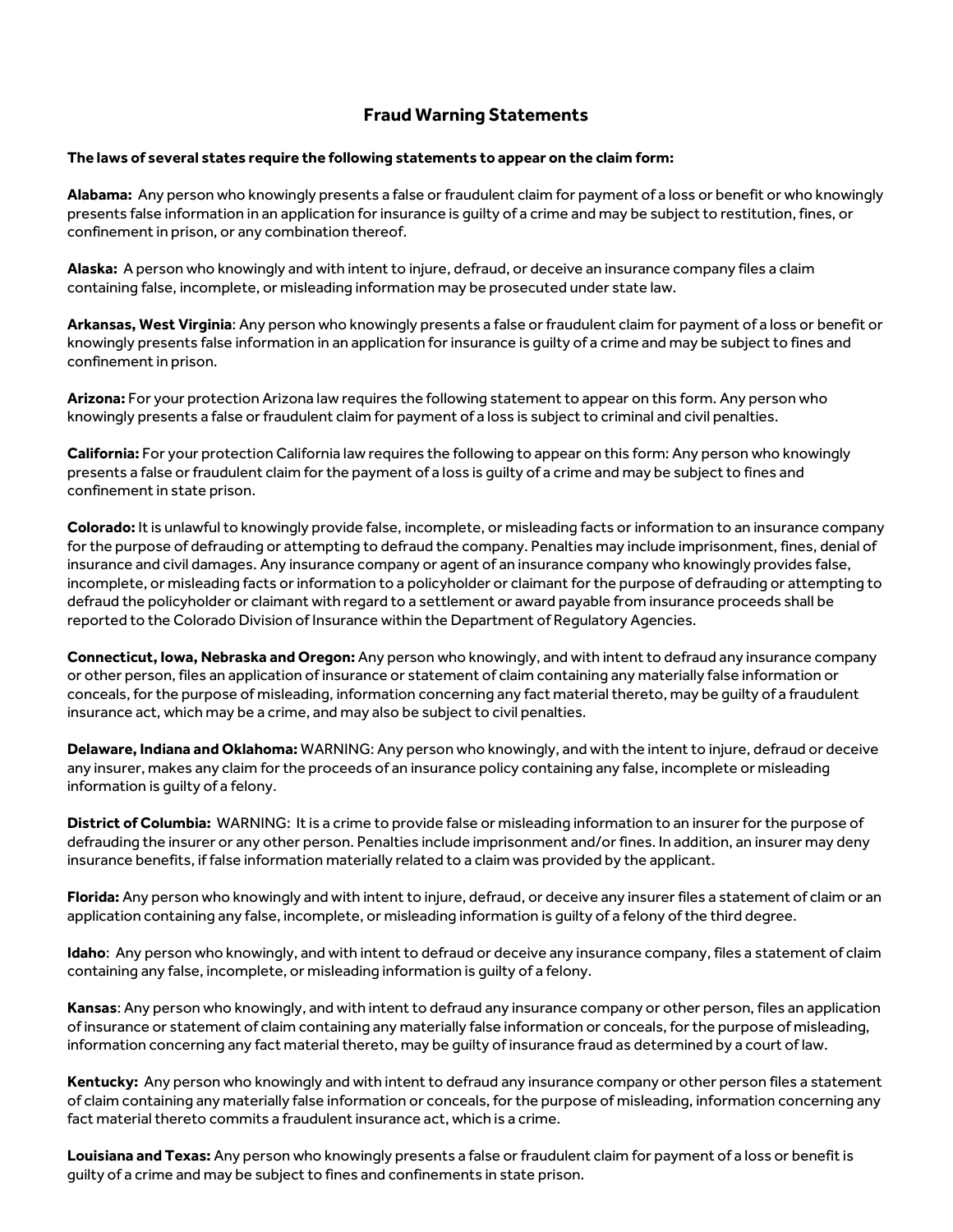## **Fraud Warning Statements**

## **The laws of several states require the following statements to appear on the claim form:**

**Alabama:** Any person who knowingly presents a false or fraudulent claim for payment of a loss or benefit or who knowingly presents false information in an application for insurance is guilty of a crime and may be subject to restitution, fines, or confinement in prison, or any combination thereof.

**Alaska:** A person who knowingly and with intent to injure, defraud, or deceive an insurance company files a claim containing false, incomplete, or misleading information may be prosecuted under state law.

**Arkansas, West Virginia**: Any person who knowingly presents a false or fraudulent claim for payment of a loss or benefit or knowingly presents false information in an application for insurance is guilty of a crime and may be subject to fines and confinement in prison.

**Arizona:** For your protection Arizona law requires the following statement to appear on this form. Any person who knowingly presents a false or fraudulent claim for payment of a loss is subject to criminal and civil penalties.

**California:** For your protection California law requires the following to appear on this form: Any person who knowingly presents a false or fraudulent claim for the payment of a loss is guilty of a crime and may be subject to fines and confinement in state prison.

**Colorado:** It is unlawful to knowingly provide false, incomplete, or misleading facts or information to an insurance company for the purpose of defrauding or attempting to defraud the company. Penalties may include imprisonment, fines, denial of insurance and civil damages. Any insurance company or agent of an insurance company who knowingly provides false, incomplete, or misleading facts or information to a policyholder or claimant for the purpose of defrauding or attempting to defraud the policyholder or claimant with regard to a settlement or award payable from insurance proceeds shall be reported to the Colorado Division of Insurance within the Department of Regulatory Agencies.

**Connecticut, Iowa, Nebraska and Oregon:** Any person who knowingly, and with intent to defraud any insurance company or other person, files an application of insurance or statement of claim containing any materially false information or conceals, for the purpose of misleading, information concerning any fact material thereto, may be guilty of a fraudulent insurance act, which may be a crime, and may also be subject to civil penalties.

**Delaware, Indiana and Oklahoma:** WARNING: Any person who knowingly, and with the intent to injure, defraud or deceive any insurer, makes any claim for the proceeds of an insurance policy containing any false, incomplete or misleading information is guilty of a felony.

**District of Columbia:** WARNING: It is a crime to provide false or misleading information to an insurer for the purpose of defrauding the insurer or any other person. Penalties include imprisonment and/or fines. In addition, an insurer may deny insurance benefits, if false information materially related to a claim was provided by the applicant.

**Florida:** Any person who knowingly and with intent to injure, defraud, or deceive any insurer files a statement of claim or an application containing any false, incomplete, or misleading information is guilty of a felony of the third degree.

**Idaho**: Any person who knowingly, and with intent to defraud or deceive any insurance company, files a statement of claim containing any false, incomplete, or misleading information is guilty of a felony.

**Kansas**: Any person who knowingly, and with intent to defraud any insurance company or other person, files an application of insurance or statement of claim containing any materially false information or conceals, for the purpose of misleading, information concerning any fact material thereto, may be guilty of insurance fraud as determined by a court of law.

**Kentucky:** Any person who knowingly and with intent to defraud any insurance company or other person files a statement of claim containing any materially false information or conceals, for the purpose of misleading, information concerning any fact material thereto commits a fraudulent insurance act, which is a crime.

**Louisiana and Texas:** Any person who knowingly presents a false or fraudulent claim for payment of a loss or benefit is guilty of a crime and may be subject to fines and confinements in state prison.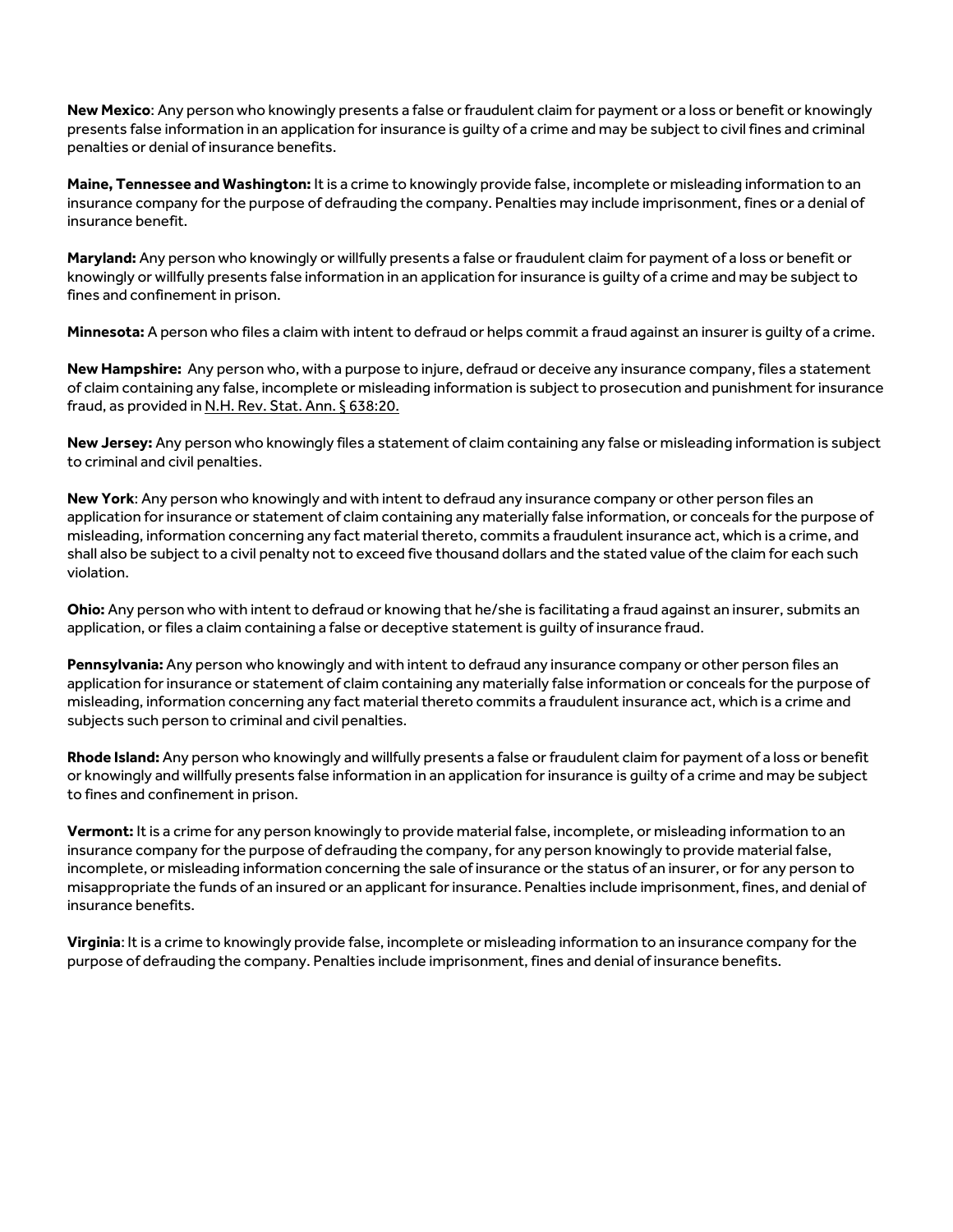**New Mexico**: Any person who knowingly presents a false or fraudulent claim for payment or a loss or benefit or knowingly presents false information in an application for insurance is guilty of a crime and may be subject to civil fines and criminal penalties or denial of insurance benefits.

**Maine, Tennessee and Washington:** It is a crime to knowingly provide false, incomplete or misleading information to an insurance company for the purpose of defrauding the company. Penalties may include imprisonment, fines or a denial of insurance benefit.

**Maryland:** Any person who knowingly or willfully presents a false or fraudulent claim for payment of a loss or benefit or knowingly or willfully presents false information in an application for insurance is guilty of a crime and may be subject to fines and confinement in prison.

**Minnesota:** A person who files a claim with intent to defraud or helps commit a fraud against an insurer is guilty of a crime.

**New Hampshire:** Any person who, with a purpose to injure, defraud or deceive any insurance company, files a statement of claim containing any false, incomplete or misleading information is subject to prosecution and punishment for insurance fraud, as provided in N.H. Rev. Stat. Ann. § 638:20.

**New Jersey:** Any person who knowingly files a statement of claim containing any false or misleading information is subject to criminal and civil penalties.

**New York**: Any person who knowingly and with intent to defraud any insurance company or other person files an application for insurance or statement of claim containing any materially false information, or conceals for the purpose of misleading, information concerning any fact material thereto, commits a fraudulent insurance act, which is a crime, and shall also be subject to a civil penalty not to exceed five thousand dollars and the stated value of the claim for each such violation.

**Ohio:** Any person who with intent to defraud or knowing that he/she is facilitating a fraud against an insurer, submits an application, or files a claim containing a false or deceptive statement is guilty of insurance fraud.

**Pennsylvania:** Any person who knowingly and with intent to defraud any insurance company or other person files an application for insurance or statement of claim containing any materially false information or conceals for the purpose of misleading, information concerning any fact material thereto commits a fraudulent insurance act, which is a crime and subjects such person to criminal and civil penalties.

**Rhode Island:** Any person who knowingly and willfully presents a false or fraudulent claim for payment of a loss or benefit or knowingly and willfully presents false information in an application for insurance is guilty of a crime and may be subject to fines and confinement in prison.

**Vermont:** It is a crime for any person knowingly to provide material false, incomplete, or misleading information to an insurance company for the purpose of defrauding the company, for any person knowingly to provide material false, incomplete, or misleading information concerning the sale of insurance or the status of an insurer, or for any person to misappropriate the funds of an insured or an applicant for insurance. Penalties include imprisonment, fines, and denial of insurance benefits.

**Virginia**: It is a crime to knowingly provide false, incomplete or misleading information to an insurance company for the purpose of defrauding the company. Penalties include imprisonment, fines and denial of insurance benefits.